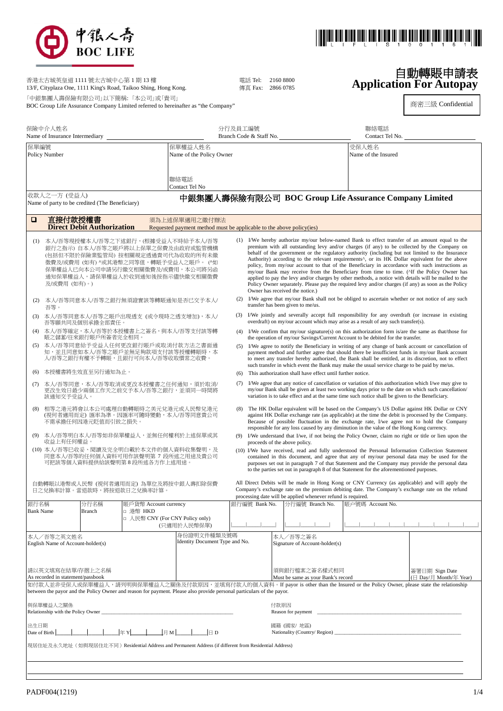



自動轉賬申請表 **Application For Autopay**

商密三級 Confidential

| 香港太古城英皇道 1111 號太古城中心第 1 期 13 樓<br>13/F, Cityplaza One, 1111 King's Road, Taikoo Shing, Hong Kong. | 雷話 Tel: 2160 8800<br>傳直 Fax: 2866 0785 |  |
|---------------------------------------------------------------------------------------------------|----------------------------------------|--|
| 「中銀集團人壽保險有限公司」以下簡稱:「本公司」或「貴司」                                                                     |                                        |  |

BOC Group Life Assurance Company Limited referred to hereinafter as "the Company"

| 保險中介人姓名<br>Name of Insurance Intermediary                                                                                                                                                                                                                                                                                              |                                                                                             |                                                | 分行及員工編號<br>Branch Code & Staff No. |                                                                                                                                                                                                                              |                                                                                                 | 聯絡電話<br>Contact Tel No.                                                                                                                                                                                                                                                                                                                                                                   |                                                            |                                                                                                                                                                                                                                                                                                                                                                                                                                                                                                                                                                                                                                                                                                                                                                                                                               |  |  |
|----------------------------------------------------------------------------------------------------------------------------------------------------------------------------------------------------------------------------------------------------------------------------------------------------------------------------------------|---------------------------------------------------------------------------------------------|------------------------------------------------|------------------------------------|------------------------------------------------------------------------------------------------------------------------------------------------------------------------------------------------------------------------------|-------------------------------------------------------------------------------------------------|-------------------------------------------------------------------------------------------------------------------------------------------------------------------------------------------------------------------------------------------------------------------------------------------------------------------------------------------------------------------------------------------|------------------------------------------------------------|-------------------------------------------------------------------------------------------------------------------------------------------------------------------------------------------------------------------------------------------------------------------------------------------------------------------------------------------------------------------------------------------------------------------------------------------------------------------------------------------------------------------------------------------------------------------------------------------------------------------------------------------------------------------------------------------------------------------------------------------------------------------------------------------------------------------------------|--|--|
| 保單編號<br>保單權益人姓名<br>Policy Number                                                                                                                                                                                                                                                                                                       |                                                                                             | Name of the Policy Owner                       |                                    |                                                                                                                                                                                                                              |                                                                                                 | 受保人姓名<br>Name of the Insured                                                                                                                                                                                                                                                                                                                                                              |                                                            |                                                                                                                                                                                                                                                                                                                                                                                                                                                                                                                                                                                                                                                                                                                                                                                                                               |  |  |
|                                                                                                                                                                                                                                                                                                                                        |                                                                                             |                                                |                                    | 聯絡電話<br>Contact Tel No                                                                                                                                                                                                       |                                                                                                 |                                                                                                                                                                                                                                                                                                                                                                                           |                                                            |                                                                                                                                                                                                                                                                                                                                                                                                                                                                                                                                                                                                                                                                                                                                                                                                                               |  |  |
|                                                                                                                                                                                                                                                                                                                                        | 收款人之一方 (受益人)                                                                                | Name of party to be credited (The Beneficiary) |                                    |                                                                                                                                                                                                                              |                                                                                                 |                                                                                                                                                                                                                                                                                                                                                                                           |                                                            | 中銀集團人壽保險有限公司 BOC Group Life Assurance Company Limited                                                                                                                                                                                                                                                                                                                                                                                                                                                                                                                                                                                                                                                                                                                                                                         |  |  |
| □                                                                                                                                                                                                                                                                                                                                      | 直接付款授權書                                                                                     | <b>Direct Debit Authorization</b>              |                                    | 須為上述保單適用之繳付辦法<br>Requested payment method must be applicable to the above policy(ies)                                                                                                                                        |                                                                                                 |                                                                                                                                                                                                                                                                                                                                                                                           |                                                            |                                                                                                                                                                                                                                                                                                                                                                                                                                                                                                                                                                                                                                                                                                                                                                                                                               |  |  |
| (1)                                                                                                                                                                                                                                                                                                                                    | 及/或費用 (如有)。)                                                                                |                                                |                                    | 本人/吾等現授權本人/吾等之下述銀行,(根據受益人不時給予本人/吾等<br>銀行之指示) 自本人/吾等之賬戶將以上保單之保費及由政府或監管機構<br>(包括但不限於保險業監管局) 按相關規定透過貴司代為收取的所有未繳<br>徵費及/或費用 (如有) ^或其港幣之同等值,轉賬予受益人之賬戶。 (^如<br>保單權益人已向本公司申請另行繳交相關徵費及/或費用,本公司將另函<br>通知保單權益人,請保單權益人於收到通知後按指示儘快繳交相關徵費 |                                                                                                 |                                                                                                                                                                                                                                                                                                                                                                                           | Owner has received the notice.)                            | (1) I/We hereby authorize my/our below-named Bank to effect transfer of an amount equal to the<br>premium with all outstanding levy and/or charges (if any) to be collected by the Company on<br>behalf of the government or the regulatory authority (including but not limited to the Insurance<br>Authority) according to the relevant requirements <sup>A</sup> , or its HK Dollar equivalent for the above<br>policy, from my/our account to that of the Beneficiary in accordance with such instructions as<br>my/our Bank may receive from the Beneficiary from time to time. (Alf the Policy Owner has<br>applied to pay the levy and/or charges by other methods, a notice with details will be mailed to the<br>Policy Owner separately. Please pay the required levy and/or charges (if any) as soon as the Policy |  |  |
| (2)                                                                                                                                                                                                                                                                                                                                    | 吾等。                                                                                         |                                                |                                    | 本人/吾等同意本人/吾等之銀行無須證實該等轉賬通知是否已交予本人/                                                                                                                                                                                            | (2)                                                                                             |                                                                                                                                                                                                                                                                                                                                                                                           | transfer has been given to me/us.                          | I/We agree that my/our Bank shall not be obliged to ascertain whether or not notice of any such                                                                                                                                                                                                                                                                                                                                                                                                                                                                                                                                                                                                                                                                                                                               |  |  |
| (3)                                                                                                                                                                                                                                                                                                                                    |                                                                                             | 吾等願共同及個別承擔全部責任。                                |                                    | 本人/吾等同意本人/吾等之賬戶出現透支 (或令現時之透支增加),本人/                                                                                                                                                                                          |                                                                                                 |                                                                                                                                                                                                                                                                                                                                                                                           |                                                            | (3) I/We jointly and severally accept full responsibility for any overdraft (or increase in existing<br>overdraft) on my/our account which may arise as a result of any such transfer(s).                                                                                                                                                                                                                                                                                                                                                                                                                                                                                                                                                                                                                                     |  |  |
| (4)                                                                                                                                                                                                                                                                                                                                    |                                                                                             | 賬之儲蓄/往來銀行賬戶所簽者完全相同。                            |                                    | 本人/吾等確定,本人/吾等於本授權書上之簽名,與本人/吾等支付該等轉                                                                                                                                                                                           | (4)                                                                                             |                                                                                                                                                                                                                                                                                                                                                                                           |                                                            | I/We confirm that my/our signature(s) on this authorization form is/are the same as that/those for<br>the operation of my/our Savings/Current Account to be debited for the transfer.                                                                                                                                                                                                                                                                                                                                                                                                                                                                                                                                                                                                                                         |  |  |
|                                                                                                                                                                                                                                                                                                                                        |                                                                                             |                                                | 人/吾等之銀行有權不予轉賬,且銀行可向本人/吾等收取慣常之收費    | (5) 本人/吾等同意給予受益人任何更改銀行賬戶或取消付款方法之書面通<br>知,並且同意如本人/吾等之賬戶並無足夠款項支付該等授權轉賬時,本                                                                                                                                                      |                                                                                                 |                                                                                                                                                                                                                                                                                                                                                                                           |                                                            | (5) I/We agree to notify the Beneficiary in writing of any change of bank account or cancellation of<br>payment method and further agree that should there be insufficient funds in my/our Bank account<br>to meet any transfer hereby authorized, the Bank shall be entitled, at its discretion, not to effect<br>such transfer in which event the Bank may make the usual service charge to be paid by me/us.                                                                                                                                                                                                                                                                                                                                                                                                               |  |  |
| (6)<br>(7)                                                                                                                                                                                                                                                                                                                             |                                                                                             | 本授權書將生效直至另行通知為止。                               |                                    | 本人/吾等同意,本人/吾等取消或更改本授權書之任何通知,須於取消/                                                                                                                                                                                            | (6)<br>(7)                                                                                      |                                                                                                                                                                                                                                                                                                                                                                                           | This authorization shall have effect until further notice. | I/We agree that any notice of cancellation or variation of this authorization which I/we may give to                                                                                                                                                                                                                                                                                                                                                                                                                                                                                                                                                                                                                                                                                                                          |  |  |
|                                                                                                                                                                                                                                                                                                                                        | 該通知交予受益人。                                                                                   |                                                |                                    | 更改生效日最少兩個工作天之前交予本人/吾等之銀行,並須同一時間將                                                                                                                                                                                             |                                                                                                 |                                                                                                                                                                                                                                                                                                                                                                                           |                                                            | my/our Bank shall be given at least two working days prior to the date on which such cancellation/<br>variation is to take effect and at the same time such notice shall be given to the Beneficiary.                                                                                                                                                                                                                                                                                                                                                                                                                                                                                                                                                                                                                         |  |  |
| (8)                                                                                                                                                                                                                                                                                                                                    | 相等之港元將會以本公司處理自動轉賬時之美元兌港元或人民幣兌港元<br>(視何者適用而定) 匯率為準。因匯率可隨時變動,本人/吾等同意貴公司<br>不需承擔任何因港元貶值而引致之損失。 |                                                |                                    |                                                                                                                                                                                                                              | (8)                                                                                             | The HK Dollar equivalent will be based on the Company's US Dollar against HK Dollar or CNY<br>against HK Dollar exchange rate (as applicable) at the time the debit is processed by the Company.<br>Because of possible fluctuation in the exchange rate, I/we agree not to hold the Company<br>responsible for any loss caused by any diminution in the value of the Hong Kong currency. |                                                            |                                                                                                                                                                                                                                                                                                                                                                                                                                                                                                                                                                                                                                                                                                                                                                                                                               |  |  |
| (9)                                                                                                                                                                                                                                                                                                                                    | 收益上有任何權益。                                                                                   |                                                |                                    | 本人/吾等明白本人/吾等如非保單權益人,並無任何權利於上述保單或其                                                                                                                                                                                            |                                                                                                 | (9) I/We understand that I/we, if not being the Policy Owner, claim no right or title or lien upon the<br>proceeds of the above policy.                                                                                                                                                                                                                                                   |                                                            |                                                                                                                                                                                                                                                                                                                                                                                                                                                                                                                                                                                                                                                                                                                                                                                                                               |  |  |
| (10) 本人/吾等已收妥、閱讀及完全明白載於本文件的個人資料收集聲明,及<br>同意本人/吾等的任何個人資料可用作該聲明第 7 段所述之用途及貴公司<br>可把該等個人資料提供給該聲明第 8 段所述各方作上述用途。                                                                                                                                                                                                                           |                                                                                             |                                                |                                    |                                                                                                                                                                                                                              |                                                                                                 |                                                                                                                                                                                                                                                                                                                                                                                           |                                                            | (10) I/We have received, read and fully understood the Personal Information Collection Statement<br>contained in this document, and agree that any of my/our personal data may be used for the<br>purposes set out in paragraph 7 of that Statement and the Company may provide the personal data<br>to the parties set out in paragraph 8 of that Statement for the aforementioned purposes.                                                                                                                                                                                                                                                                                                                                                                                                                                 |  |  |
| All Direct Debits will be made in Hong Kong or CNY Currency (as applicable) and will apply the<br>自動轉賬以港幣或人民幣 (視何者適用而定) 為單位及將按中銀人壽扣除保費<br>Company's exchange rate on the premium debiting date. The Company's exchange rate on the refund<br>日之兌換率計算。當退款時,將按退款日之兌換率計算。<br>processing date will be applied whenever refund is required. |                                                                                             |                                                |                                    |                                                                                                                                                                                                                              |                                                                                                 |                                                                                                                                                                                                                                                                                                                                                                                           |                                                            |                                                                                                                                                                                                                                                                                                                                                                                                                                                                                                                                                                                                                                                                                                                                                                                                                               |  |  |
| 銀行名稱<br><b>Bank Name</b>                                                                                                                                                                                                                                                                                                               |                                                                                             | 分行名稱<br>Branch                                 | 賬戶貨幣 Account currency<br>□ 港幣 HKD  |                                                                                                                                                                                                                              |                                                                                                 | 銀行編號 Bank No.                                                                                                                                                                                                                                                                                                                                                                             | 分行編號 Branch No.                                            | 賬户號碼 Account No.                                                                                                                                                                                                                                                                                                                                                                                                                                                                                                                                                                                                                                                                                                                                                                                                              |  |  |
|                                                                                                                                                                                                                                                                                                                                        |                                                                                             |                                                | □ 人民幣 CNY (For CNY Policy only)    | (只適用於人民幣保單)                                                                                                                                                                                                                  |                                                                                                 |                                                                                                                                                                                                                                                                                                                                                                                           |                                                            |                                                                                                                                                                                                                                                                                                                                                                                                                                                                                                                                                                                                                                                                                                                                                                                                                               |  |  |
| 身份證明文件種類及號碼<br>本人/吾等之英文姓名<br>Identity Document Type and No.<br>English Name of Account-holder(s)                                                                                                                                                                                                                                       |                                                                                             |                                                |                                    |                                                                                                                                                                                                                              |                                                                                                 |                                                                                                                                                                                                                                                                                                                                                                                           | 本人/吾等之簽名<br>Signature of Account-holder(s)                 |                                                                                                                                                                                                                                                                                                                                                                                                                                                                                                                                                                                                                                                                                                                                                                                                                               |  |  |
| 請以英文填寫在結單/存摺上之名稱<br>As recorded in statement/passbook                                                                                                                                                                                                                                                                                  |                                                                                             |                                                |                                    |                                                                                                                                                                                                                              | 須與銀行檔案之簽名樣式相同<br>簽署日期 Sign Date<br>(日 Day/月 Month/年 Year)<br>Must be same as your Bank's record |                                                                                                                                                                                                                                                                                                                                                                                           |                                                            |                                                                                                                                                                                                                                                                                                                                                                                                                                                                                                                                                                                                                                                                                                                                                                                                                               |  |  |
|                                                                                                                                                                                                                                                                                                                                        |                                                                                             |                                                |                                    | between the payor and the Policy Owner and reason for payment. Please also provide personal particulars of the payor.                                                                                                        |                                                                                                 |                                                                                                                                                                                                                                                                                                                                                                                           |                                                            | 如付款人並非受保人或保單權益人,請列明與保單權益人之關係及付款原因,並填寫付款人的個人資料。If payor is other than the Insured or the Policy Owner, please state the relationship                                                                                                                                                                                                                                                                                                                                                                                                                                                                                                                                                                                                                                                                                           |  |  |
| 與保單權益人之關係<br>付款原因<br>Relationship with the Policy Owner_<br>Reason for payment                                                                                                                                                                                                                                                         |                                                                                             |                                                |                                    |                                                                                                                                                                                                                              |                                                                                                 |                                                                                                                                                                                                                                                                                                                                                                                           |                                                            |                                                                                                                                                                                                                                                                                                                                                                                                                                                                                                                                                                                                                                                                                                                                                                                                                               |  |  |
| 國籍 (國家/地區)<br>出生日期<br>$ \mathbf{F} \mathbf{M} $<br>年 Y<br>E<br>Date of Birth<br>Nationality (Country/Region) _____                                                                                                                                                                                                                     |                                                                                             |                                                |                                    |                                                                                                                                                                                                                              |                                                                                                 |                                                                                                                                                                                                                                                                                                                                                                                           |                                                            |                                                                                                                                                                                                                                                                                                                                                                                                                                                                                                                                                                                                                                                                                                                                                                                                                               |  |  |
|                                                                                                                                                                                                                                                                                                                                        |                                                                                             |                                                |                                    | 現居住址及永久地址(如與現居住址不同)Residential Address and Permanent Address (if different from Residential Address)                                                                                                                         |                                                                                                 |                                                                                                                                                                                                                                                                                                                                                                                           |                                                            |                                                                                                                                                                                                                                                                                                                                                                                                                                                                                                                                                                                                                                                                                                                                                                                                                               |  |  |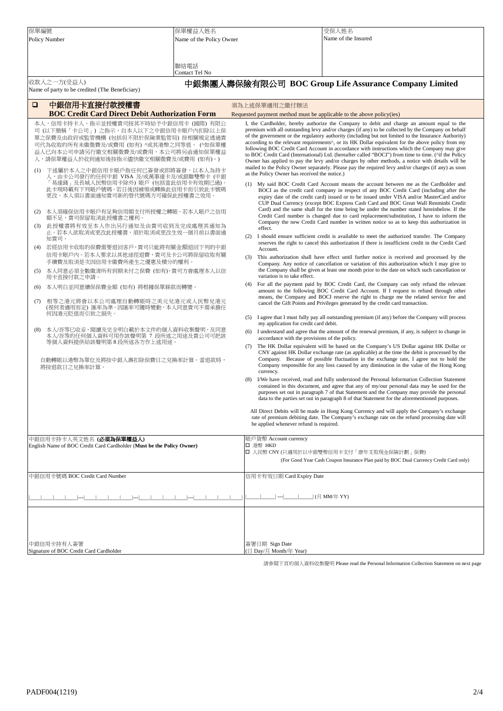| 保單編號 |                                                                                 | 保單權益人姓名                  |                                          | 受保人姓名                                                                                                                                                                                                                  |  |
|------|---------------------------------------------------------------------------------|--------------------------|------------------------------------------|------------------------------------------------------------------------------------------------------------------------------------------------------------------------------------------------------------------------|--|
|      | Policy Number                                                                   | Name of the Policy Owner |                                          | Name of the Insured                                                                                                                                                                                                    |  |
|      |                                                                                 |                          |                                          |                                                                                                                                                                                                                        |  |
|      |                                                                                 |                          |                                          |                                                                                                                                                                                                                        |  |
|      |                                                                                 | 聯絡電話<br>Contact Tel No   |                                          |                                                                                                                                                                                                                        |  |
|      | 收款人之一方(受益人)                                                                     |                          |                                          | 中銀集團人壽保險有限公司 BOC Group Life Assurance Company Limited                                                                                                                                                                  |  |
|      | Name of party to be credited (The Beneficiary)                                  |                          |                                          |                                                                                                                                                                                                                        |  |
| □    | 中銀信用卡直接付款授權書                                                                    |                          | 須為上述保單適用之繳付辦法                            |                                                                                                                                                                                                                        |  |
|      | <b>BOC Credit Card Direct Debit Authorization Form</b>                          |                          |                                          | Requested payment method must be applicable to the above policy(ies)                                                                                                                                                   |  |
|      | 本人,信用卡持卡人,指示並授權貴司按其不時給予中銀信用卡 (國際) 有限公                                           |                          |                                          | I, the Cardholder, hereby authorize the Company to debit and charge an amount equal to the                                                                                                                             |  |
|      | 司 (以下簡稱「卡公司」) 之指示,自本人以下之中銀信用卡賬戶內扣除以上保                                           |                          |                                          | premium with all outstanding levy and/or charges (if any) to be collected by the Company on behalf                                                                                                                     |  |
|      | 單之保費及由政府或監管機構(包括但不限於保險業監管局) 按相關規定透過貴                                            |                          |                                          | of the government or the regulatory authority (including but not limited to the Insurance Authority)<br>according to the relevant requirements <sup>A</sup> , or its HK Dollar equivalent for the above policy from my |  |
|      | 司代為收取的所有未繳徵費及/或費用 (如有) ^或其港幣之同等值。 (^如保單權<br>益人已向本公司申請另行繳交相關徵費及/或費用,本公司將另函通知保單權益 |                          |                                          | following BOC Credit Card Account in accordance with instructions which the Company may give                                                                                                                           |  |
|      | 人,請保單權益人於收到通知後按指示儘快繳交相關徵費及/或費用 (如有)。)                                           |                          |                                          | to BOC Credit Card (International) Ltd. (hereafter called "BOCI") from time to time. (^if the Policy<br>Owner has applied to pay the levy and/or charges by other methods, a notice with details will be               |  |
| (1)  | 下述屬於本人之中銀信用卡賬戶指任何已簽發或即將簽發,以本人為持卡                                                |                          |                                          | mailed to the Policy Owner separately. Please pay the required levy and/or charges (if any) as soon                                                                                                                    |  |
|      | 人,由卡公司發行的任何中銀 VISA 及/或萬事達卡及/或銀聯雙幣卡 (中銀                                          |                          |                                          | as the Policy Owner has received the notice.)                                                                                                                                                                          |  |
|      | 「易達錢」及長城人民幣信用卡除外)賬戶 (包括當此信用卡有效期已過)。<br>此卡現時載有下列賬戶號碼。若日後因補領或轉換此信用卡而引致此卡號碼        |                          |                                          | (1) My said BOC Credit Card Account means the account between me as the Cardholder and<br>BOCI as the credit card company in respect of any BOC Credit Card (including after the                                       |  |
|      | 更改,本人須以書面通知貴司新的替代號碼方可確保此授權書之效用                                                  |                          |                                          | expiry date of the credit card) issued or to be issued under VISA and/or MasterCard and/or                                                                                                                             |  |
|      |                                                                                 |                          |                                          | CUP Dual Currency (except BOC Express Cash Card and BOC Great Wall Renminbi Credit<br>Card) and the same shall for the time being be under the number stated hereinbelow. If the                                       |  |
| (2)  | 本人須確保信用卡賬戶有足夠信用額支付所授權之轉賬。若本人賬戶之信用<br>額不足,貴司保留取消此授權書之權利。                         |                          |                                          | Credit Card number is changed due to card replacement/substitution, I have to inform the                                                                                                                               |  |
| (3)  | 此授權書將有效至本人作出另行通知及由貴司收到及完成處理其通知為                                                 |                          | effect.                                  | Company the new Credit Card number in written notice so as to keep this authorization in                                                                                                                               |  |
|      | 止。若本人欲取消或更改此授權書,須於取消或更改生效一個月前以書面通                                               |                          | (2)                                      | I should ensure sufficient credit is available to meet the authorized transfer. The Company                                                                                                                            |  |
| (4)  | 知貴司。<br>若經信用卡收取的保費需要退回客戶,貴司只能將有關金額退回下列的中銀                                       |                          |                                          | reserves the right to cancel this authorization if there is insufficient credit in the Credit Card                                                                                                                     |  |
|      | 信用卡賬戶內。若本人要求以其他途徑退費,貴司及卡公司將保留收取有關                                               |                          | Account.                                 |                                                                                                                                                                                                                        |  |
|      | 手續費及取消是次因信用卡繳費所產生之優惠及積分的權利。                                                     |                          | (3)                                      | This authorization shall have effect until further notice is received and processed by the<br>Company. Any notice of cancellation or variation of this authorization which I may give to                               |  |
| (5)  | 本人同意必須全數繳清所有到期未付之保費 (如有),貴司方會處理本人以信                                             |                          |                                          | the Company shall be given at least one month prior to the date on which such cancellation or<br>variation is to take effect.                                                                                          |  |
|      | 用卡直接付款之申請。                                                                      |                          | (4)                                      | For all the payment paid by BOC Credit Card, the Company can only refund the relevant                                                                                                                                  |  |
| (6)  | 本人明白並同意續保保費金額 (如有) 將根據保單條款而轉變。                                                  |                          |                                          | amount to the following BOC Credit Card Account. If I request to refund through other                                                                                                                                  |  |
| (7)  | 相等之港元將會以本公司處理自動轉賬時之美元兌港元或人民幣兌港元                                                 |                          |                                          | means, the Company and BOCI reserve the right to charge me the related service fee and<br>cancel the Gift Points and Privileges generated by the credit card transaction.                                              |  |
|      | (視何者適用而定) 匯率為準。因匯率可隨時變動,本人同意貴司不需承擔任<br>何因港元貶值而引致之損失。                            |                          |                                          |                                                                                                                                                                                                                        |  |
|      |                                                                                 |                          | (5)                                      | I agree that I must fully pay all outstanding premium (if any) before the Company will process<br>my application for credit card debit.                                                                                |  |
| (8)  | 本人/吾等已收妥、閱讀及完全明白載於本文件的個人資料收集聲明,及同意                                              |                          | (6)                                      | I understand and agree that the amount of the renewal premium, if any, is subject to change in                                                                                                                         |  |
|      | 本人/吾等的任何個人資料可用作該聲明第 7 段所述之用途及貴公司可把該<br>等個人資料提供給該聲明第 8 段所述各方作上述用途。               |                          |                                          | accordance with the provisions of the policy.                                                                                                                                                                          |  |
|      |                                                                                 |                          | (7)                                      | The HK Dollar equivalent will be based on the Company's US Dollar against HK Dollar or<br>CNY against HK Dollar exchange rate (as applicable) at the time the debit is processed by the                                |  |
|      | 自動轉賬以港幣為單位及將按中銀人壽扣除保費日之兌換率計算。當退款時,                                              |                          |                                          | Company. Because of possible fluctuation in the exchange rate, I agree not to hold the                                                                                                                                 |  |
|      | 將按退款日之兌換率計算。                                                                    |                          | currency.                                | Company responsible for any loss caused by any diminution in the value of the Hong Kong                                                                                                                                |  |
|      |                                                                                 |                          | (8)                                      | I/We have received, read and fully understood the Personal Information Collection Statement                                                                                                                            |  |
|      |                                                                                 |                          |                                          | contained in this document, and agree that any of my/our personal data may be used for the                                                                                                                             |  |
|      |                                                                                 |                          |                                          | purposes set out in paragraph 7 of that Statement and the Company may provide the personal<br>data to the parties set out in paragraph 8 of that Statement for the aforementioned purposes                             |  |
|      |                                                                                 |                          |                                          |                                                                                                                                                                                                                        |  |
|      |                                                                                 |                          |                                          | All Direct Debits will be made in Hong Kong Currency and will apply the Company's exchange<br>rate of premium debiting date. The Company's exchange rate on the refund processing date will                            |  |
|      |                                                                                 |                          |                                          | be applied whenever refund is required.                                                                                                                                                                                |  |
|      | 中銀信用卡持卡人英文姓名 (必 <b>須為保單權益人</b> )                                                |                          | 賬戶貨幣 Account currency                    |                                                                                                                                                                                                                        |  |
|      | English Name of BOC Credit Card Cardholder (Must be the Policy Owner)           |                          | □ 港幣 HKD                                 |                                                                                                                                                                                                                        |  |
|      |                                                                                 |                          |                                          | □ 人民幣 CNY (只適用於以中銀雙幣信用卡支付「康年支取現金保險計劃」保費)<br>(For Good Year Cash Coupon Insurance Plan paid by BOC Dual Currency Credit Card only)                                                                                      |  |
|      |                                                                                 |                          |                                          |                                                                                                                                                                                                                        |  |
|      | 中銀信用卡號碼 BOC Credit Card Number                                                  |                          |                                          | 信用卡有效日期 Card Expiry Date                                                                                                                                                                                               |  |
|      |                                                                                 |                          |                                          |                                                                                                                                                                                                                        |  |
|      |                                                                                 |                          |                                          | ____  (月 MM/年 YY)                                                                                                                                                                                                      |  |
|      |                                                                                 |                          |                                          |                                                                                                                                                                                                                        |  |
|      |                                                                                 |                          |                                          |                                                                                                                                                                                                                        |  |
|      |                                                                                 |                          |                                          |                                                                                                                                                                                                                        |  |
|      |                                                                                 |                          |                                          |                                                                                                                                                                                                                        |  |
|      | 中銀信用卡持有人簽署<br>Signature of BOC Credit Card Cardholder                           |                          | 簽署日期 Sign Date<br>(日 Day/月 Month/年 Year) |                                                                                                                                                                                                                        |  |

請參閱下頁的個人資料收集聲明 Please read the Personal Information Collection Statement on next page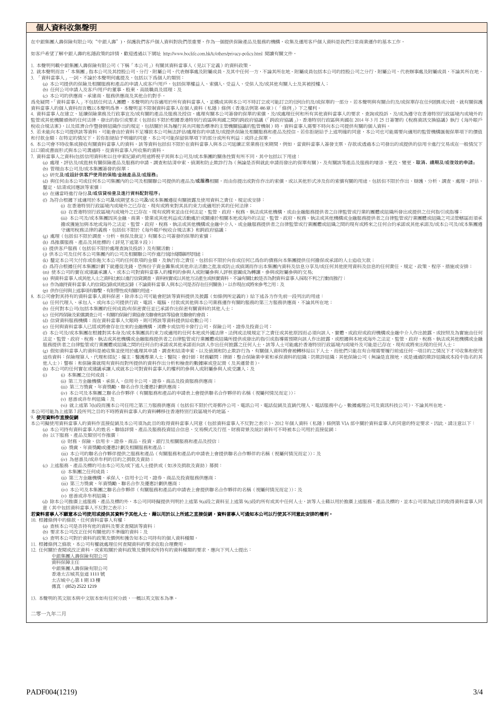## 個人資料收集聲明

在中銀集團人壽保險有限公司("中銀人壽"),保護我們客戶個人資料對我們很重要。作為一個提供保險產品及服務的機構,收集及運用客戶個人資料是我們日常商業運作的基本工作。

如客戶希望了解中銀人壽的私隱政策的詳情,歡迎透過以下網址 <http://www.boclife.com.hk/tc/others/privacy-policy.html> 閱讀有關文件。

1. 本聲明列載中銀集團人壽保險有限公司(下稱「本公司」)有關其資料當事人(見以下定義)的資料政策。 2. 就本聲明而言,「本集團」指本公司及其控股公司、分行、附屬公司、代表辦事處及附屬成員,及其中任何一方,不論其所在地。附屬成員包括本公司的控股公司之分行、附屬公司、代表辦事處及附屬成員,不論其所在地。<br>3. 「資料當事人」一詞,不論於本聲明何處提及,包括以下鳥個人的類別:<br>(3)本公司提供的保險及名同用戶的董事、股東、高級職員及經理;及<br>(b)任何公司中請人及客戶用戶的董事、股東、高級職員及經理;及<br>(c)本公司的供應商、承建商、服務 。<br>爲免疑問,「資料當事人」不包括任何法人團體。本聲明的內容適用於所有資料當事人,並構成其與本公司不時訂立或可能訂立的任阿合約及/或保單的一部分。若本聲明與有關合約及/或保單存在任何差異或分歧,就有關保護 資料當事人的個人資料而言概以本聲明鳥準。本聲明並不限制資料當事人在個人資料(私隱)條例(香港法例第 48章)(「條例」)下之權利。<br>4. 資料當事人在建立、延續保險業務及行政事宜及或有關的產品及服務及授信、處理有關本公司簽發的保單的索償,及或處理任何和所有其他資料當事人的要求、查詢或投訴、及/或為遵守在香港特別行政區境内或境外的<br>監管或其他機關頒佈的任何法律、發出的指引或要求(包括但不限於根據香港特別行政區與美國之間的跨政府協議(「跨政庵 5. 若未能向本公司提供該等資料,可能會由於資料不足導致本公司無法評估/處理你的申請及/或提供保險及相關服務和產品及授信。若你拒絕給予上述明確的同意,本公司也可能需要向適用的監管機構匯報保單項下的價值<br>和付款金額;在特定的情況下,若你拒絕給予明確的同意,本公司可能保留保單項下的部分或所有利益;或終止保單。 6. 本公司會不時收集或接收有關資料者事人的資料。該等資料包括但不限於在資料當事人與本公司延續正常業務往來期間,例如,當資料當事人簽發支票、存款或透過本公司發出的或提供的信用卡進行交易或在一般情況下<br>以口頭或書面形式與本公司溝通時,從資料當事人所收集的資料。 7. 資料當事人之資料(包括信用資料和以往申索紀錄)的用途將視乎其與本公司及/或本集團的關係性質有所不同,其中包括以下用途: 。<br>(a) 處理、評估及/或批核有關保險產品及服務的申請、調查和結清申索、偵測和防止欺詐行為(無論是否與就此申請而發出的保單有關)、及有關該等產品及服務的增添、更改、變更、**取消、績期及/或復效的申請;** (b) 管理由本公司及/或本集團簽發的保單; (c) 研究及/或設計供客戶使用的保險/金融產品及/或服務; (d) 與任何由本公司集團內的公司及相關聯公司提供的產品及/或**服務**相關,而由你提出或對你作出的索償,或以其他形式涉及你的索償有關的用途,包括但不限於作出、辯護、分析、調查、處理、評估、 。<br>釐定、結清或回應該等索償; (e) 在適當時進行身份及/或信貸檢查及進行資料配對程序; (f) 為符合根據下述適用於本公司及/或期望本公司及/或本集團遵從有關披露及使用資料之責任、規定或安排: (i) 在香港特別行政區境內或境外之已存在、現有或將來對其具約束力或適用於其的任何法律;<br>(ii) 在香港特別行政區境內或境外之已存在、現有或將來並由任何法定、監管、政府、稅務、執法或其他機構,或由金融服務提供者之自律監管或行業的團體或組織所發出或提供之任何指引或指導; (iii) 本公司及/或本集團因其金融、商業、營業或其他利益或活動處於或關連於相關本地或海外的法定、監管、政府、稅務、執法或其他機構或金融服務提供者之自律監管或行業團體或組織之司法管轄區而須承<br>擔或獲施加與本地或海外之法定、監管、政府、稅務、執法或其他機構或金融中介人、或金融服務提供者之自律監管或行業團體或組織之間的現有或將來之任何合約承諾或其他承諾及/或本公司及/或本集團遭<br>守適用稅務法律的義務,包括但不限於《海外賬戶稅收合規法案》和 (g) 處理(包括但不限於調查、分析、核保及裁定)有關本公司簽發的保單的索償; (h) 爲推廣服務、產品及其他標的(詳見下述第 9 段); (i) 提供客戶服務(包括但不限於處理查詢及投訴)及有關活動;<br>(j) 供本公司及任何本公司集團內的公司及相關聯公司作進行統<del>卡隊第斯院用途</del>; (k) 釐定本公司欠付你或你拖欠本公司的任何款項的金額,及執行你之責任,包括但不限於向你或任何已爲你的債務向本集團提供任何擔保或承諾的人士追收欠款;<br>(l) 爲符合根據任何本集團計劃下就遵從洗錢、恐怖份子資金籌集或其他非法活動之批准或防止或偵測而作出本集團内資料及信息分享及/或任何其他使用資料及信息的任何責任、規定、政策、程序、措施或安排; (m) 使本公司的實在或建議承讓人,或本公司對資料當事人的權利的參與人或附屬參與人評核意圖成為轉讓,參與或附屬參與的交易;<br>(n) 與資料當事人或其他人士之資料比較以進行信貸調查,資料核實或以其他方法產生或核實資料,不論有關比較是否為對資料當事人採取不利之行動而推行; (o) 作為維持資料當事人的信貸記錄或其他記錄(不論資料當事人與本公司是否存在任何關係),以作現在或將來參考之用;及 (p) 供作任何與上述事項有聯繫、有附帶性或有關的用途。 8. 本公司會對其持有的資料當事人資料保密,除非本公司可能會把該等資料提供及披露(如條例所定義的)給下述各方作先前一段列出的用途: (a) 任何代理人、承包人、或向本公司提供行政、電訊、電腦、付款或其他與本公司業務運作有關的服務的第三方服務供應商,不論其所在地; (b) 任何對本公司(包括本集團的任何成員)有保密責任並已承諾作出保密有關資料的其他人士; (c) 任何再保險及索償調查公司、有關的保險行業協會及聯會和該等協會及聯會的會員; (d) 信貸資料服務機構;而在資料當事人欠賬時,則可將該等資料提供給收數公司; (e) 任何與資料當事人已經或將會存在往來的金融機構、消費卡或信用卡發行公司、保險公司、證券及投資公司;<br>(1) 本公司及或本集團在根據對其本身及成本集團具約束力或適用的任何本地或外国法律、法例或法規規定下之責任或其他原因而必須向該人、實體、或政府或政府機構或金融中介人作出披露,或按照及為實施由任何<br>法定、監管、政府、税務、執法或其他機構或金融服務集供者之自律監管或行業團體或組織所提供或發出的指引或指導需預期向該人作出披露,或根據與本 (h) 本公司的任何實在或建議承讓人或就本公司對資料當事人的權利的參與人或附屬參與人或受讓人; } (i) (i) 本集團之任何成員; (ii) 第三方金融機構、承保人、信用卡公司、證券、商品及投資服務供應商; (iii) 第三方獎賞、年資獎勵、聯名合作及優惠計劃供應商; (iv) 本公司及本集團之聯名合作夥伴(有關服務和產品的申請表上會提供聯名合作夥伴的名稱(視屬何情況而定)); (v) 慈善或非牟利組織;及 、, 。。<br>(vi) 就上述第 7位段而獲本公司任用之第三方服務供應商(包括但不限於代寄郵件公司、電訊公司、電話促銷及直銷代理人、電話服務中心、數據處理公司及資訊科技公司), 不論其所在地。 本公司可能為上述第 7 段所列之目的不時將資料當事人的資料轉移往香港特別行政區境外的地區。 9. 使用資料作直接促銷 本公司擬使用資料當事人的資料作直接促銷及本公司須為此目的取得資料當事人同意(包括資料當事人不反對之表示)。2012 年個人資料(私隱)條例第 VIA 部中關於資料當事人的同意的特定要求。因此,請注意以下: (a) 本公司持有資料當事人的姓名、聯絡詳情、產品及服務投資組合信息、交易模式及行徑、財務背景及統計資料可不時被本公司用於直接促銷; (b) 以下服務、產品及類別可作推廣: (i) 財務、保險、信用卡、證券、商品、投資、銀行及相關服務和產品及授信; (ii) 獎賞、年資獎勵或優惠計劃及相關服務和產品;<br>(iii) 本公司的聯名合作夥伴提供之服務和產品(有關服務和產品的申請表上會提供聯名合作夥伴的名稱(視屬何情況而定));及 (iv) 為慈善及/或非牟利的目的之捐款及資助; (c) 上述服務、產品及標的可由本公司及/或下述人士提供或(如涉及捐款及資助)募捐: (i) 本集團之任何成員;<br>(ii) 第三方金融機構、承保人、信用卡公司、證券、商品及投資服務供應商;<br>(iii) 第三方獎賞、年資獎勵、聯名合作投優惠計劃供應商;<br>(iv) 本公司及本集團之聯名合作夥伴(有關服務和產品的申請表上會提供聯名合作夥伴的名稱(視屬何情況而定));及 (v) 慈善或非牟利組織 (d) 除本公司推廣上述服務、產品及標的外,本公司同時擬提供列明於上述第 9(a)段之資料至上述第 9(c)段的所有或其中任何人士,該等人士藉以用於推廣上述服務、產品及標的,並本公司須為此目的取得資料當事人同 〔其中包括資料當事人不反對之 若資料當事人不願意本公司使用或提供其資料予其他人士,藉以用於以上所述之直接促銷,資料當事人可通知本公司以行使其不同意此安排的權利。 10. 根據條例中的條款,任何資料當事人有權: (a) 查核本公司是否持有他的資料及要求查閱該等資料; (b) 要求本公司改正任何有關他的不準確的資料;及 (c) 查明本公司對於資料的政策及慣例和獲告知本公司持有的個人資料種類。 11. 根據條例之條款,本公司有權就處理任何查閱資料的要求收取合理費用。<br>12. 任何關於查閱或改正資料,或索取關於資料政策及慣例或所持有的資料種類的要求,應向下列人士提出: 中銀集團人壽保險有限公司 資料保障主任 中銀集團人壽保險有限公司 香港太古城英皇道 1111 號 太古城中心第 1 期 13 樓 傳真:(852) 2522 1219 13. 本聲明的英文版本與中文版本如有任何分歧,一概以英文版本為準。

二零一九年二月